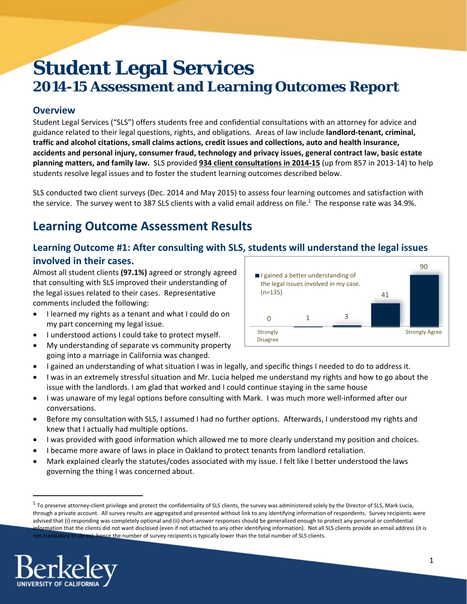# **Student Legal Services 2014-15 Assessment and Learning Outcomes Report**

### **Overview**

Student Legal Services ("SLS") offers students free and confidential consultations with an attorney for advice and guidance related to their legal questions, rights, and obligations. Areas of law include **landlord‐tenant, criminal, traffic and alcohol citations, small claims actions, credit issues and collections, auto and health insurance, accidents and personal injury, consumer fraud, technology and privacy issues, general contract law, basic estate planning matters, and family law.** SLS provided **934 client consultations in 2014‐15** (up from 857 in 2013‐14) to help students resolve legal issues and to foster the student learning outcomes described below.

SLS conducted two client surveys (Dec. 2014 and May 2015) to assess four learning outcomes and satisfaction with the service. The survey went to 387 SLS clients with a valid email address on file.<sup>1</sup> The response rate was 34.9%.

# **Learning Outcome Assessment Results**

### **Learning Outcome #1: After consulting with SLS, students will understand the legal issues involved in their cases.**

Almost all student clients **(97.1%)** agreed or strongly agreed that consulting with SLS improved their understanding of the legal issues related to their cases. Representative comments included the following:

- I learned my rights as a tenant and what I could do on my part concerning my legal issue.
- $\bullet$  I understood actions I could take to protect myself.
- My understanding of separate vs community property going into a marriage in California was changed.



- I gained an understanding of what situation I was in legally, and specific things I needed to do to address it.
- I was in an extremely stressful situation and Mr. Lucia helped me understand my rights and how to go about the issue with the landlords. I am glad that worked and I could continue staying in the same house
- I was unaware of my legal options before consulting with Mark. I was much more well‐informed after our conversations.
- Before my consultation with SLS, I assumed I had no further options. Afterwards, I understood my rights and knew that I actually had multiple options.
- I was provided with good information which allowed me to more clearly understand my position and choices.
- I became more aware of laws in place in Oakland to protect tenants from landlord retaliation.
- Mark explained clearly the statutes/codes associated with my issue. I felt like I better understood the laws governing the thing I was concerned about.

 $1$  To preserve attorney-client privilege and protect the confidentiality of SLS clients, the survey was administered solely by the Director of SLS, Mark Lucia, through a private account. All survey results are aggregated and presented without link to any identifying information of respondents. Survey recipients were advised that (i) responding was completely optional and (ii) short‐answer responses should be generalized enough to protect any personal or confidential information that the clients did not want disclosed (even if not attached to any other identifying information). Not all SLS clients provide an email address (it is not mandatory to do so), hence the number of survey recipients is typically lower than the total number of SLS clients.

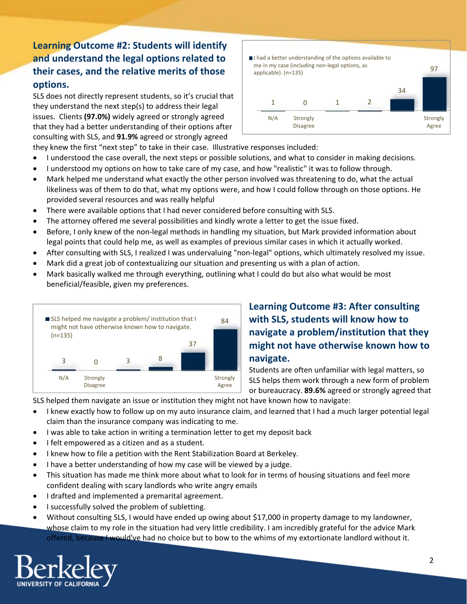### **Learning Outcome #2: Students will identify and understand the legal options related to their cases, and the relative merits of those options.**

SLS does not directly represent students, so it's crucial that they understand the next step(s) to address their legal issues. Clients **(97.0%)** widely agreed or strongly agreed that they had a better understanding of their options after consulting with SLS, and **91.9%** agreed or strongly agreed



- they knew the first "next step" to take in their case. Illustrative responses included:
- I understood the case overall, the next steps or possible solutions, and what to consider in making decisions.
- I understood my options on how to take care of my case, and how "realistic" it was to follow through.
- Mark helped me understand what exactly the other person involved was threatening to do, what the actual likeliness was of them to do that, what my options were, and how I could follow through on those options. He provided several resources and was really helpful
- There were available options that I had never considered before consulting with SLS.
- The attorney offered me several possibilities and kindly wrote a letter to get the issue fixed.
- Before, I only knew of the non-legal methods in handling my situation, but Mark provided information about legal points that could help me, as well as examples of previous similar cases in which it actually worked.
- After consulting with SLS, I realized I was undervaluing "non-legal" options, which ultimately resolved my issue.
- Mark did a great job of contextualizing our situation and presenting us with a plan of action.
- Mark basically walked me through everything, outlining what I could do but also what would be most beneficial/feasible, given my preferences.



## **Learning Outcome #3: After consulting with SLS, students will know how to navigate a problem/institution that they might not have otherwise known how to navigate.**

Students are often unfamiliar with legal matters, so SLS helps them work through a new form of problem or bureaucracy. **89.6%** agreed or strongly agreed that

SLS helped them navigate an issue or institution they might not have known how to navigate:

- I knew exactly how to follow up on my auto insurance claim, and learned that I had a much larger potential legal claim than the insurance company was indicating to me.
- I was able to take action in writing a termination letter to get my deposit back
- I felt empowered as a citizen and as a student.
- I knew how to file a petition with the Rent Stabilization Board at Berkeley.
- I have a better understanding of how my case will be viewed by a judge.
- This situation has made me think more about what to look for in terms of housing situations and feel more confident dealing with scary landlords who write angry emails
- I drafted and implemented a premarital agreement.
- I successfully solved the problem of subletting.
- Without consulting SLS, I would have ended up owing about \$17,000 in property damage to my landowner, whose claim to my role in the situation had very little credibility. I am incredibly grateful for the advice Mark offered, because I would've had no choice but to bow to the whims of my extortionate landlord without it.

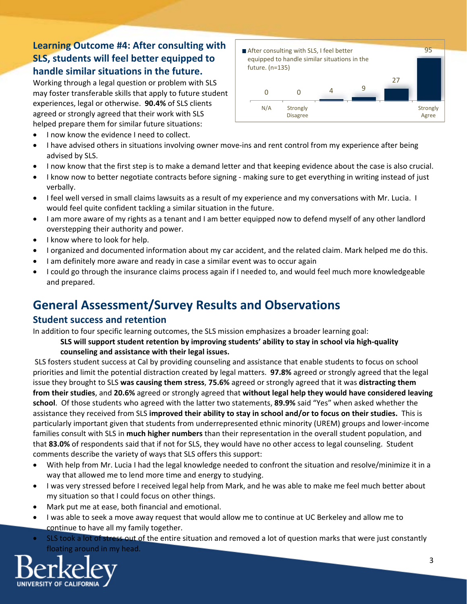### **Learning Outcome #4: After consulting with SLS, students will feel better equipped to handle similar situations in the future.**

Working through a legal question or problem with SLS may foster transferable skills that apply to future student experiences, legal or otherwise. **90.4%** of SLS clients agreed or strongly agreed that their work with SLS helped prepare them for similar future situations:

• I now know the evidence I need to collect.



- I have advised others in situations involving owner move-ins and rent control from my experience after being advised by SLS.
- I now know that the first step is to make a demand letter and that keeping evidence about the case is also crucial.
- I know now to better negotiate contracts before signing ‐ making sure to get everything in writing instead of just verbally.
- I feel well versed in small claims lawsuits as a result of my experience and my conversations with Mr. Lucia. I would feel quite confident tackling a similar situation in the future.
- I am more aware of my rights as a tenant and I am better equipped now to defend myself of any other landlord overstepping their authority and power.
- I know where to look for help.
- I organized and documented information about my car accident, and the related claim. Mark helped me do this.
- I am definitely more aware and ready in case a similar event was to occur again
- I could go through the insurance claims process again if I needed to, and would feel much more knowledgeable and prepared.

# **General Assessment/Survey Results and Observations**

### **Student success and retention**

In addition to four specific learning outcomes, the SLS mission emphasizes a broader learning goal:

#### **SLS will support student retention by improving students' ability to stay in school via high‐quality counseling and assistance with their legal issues.**

SLS fosters student success at Cal by providing counseling and assistance that enable students to focus on school priorities and limit the potential distraction created by legal matters. **97.8%** agreed or strongly agreed that the legal issue they brought to SLS **was causing them stress**, **75.6%** agreed or strongly agreed that it was **distracting them from their studies**, and **20.6%** agreed or strongly agreed that **without legal help they would have considered leaving school**. Of those students who agreed with the latter two statements, **89.9%** said "Yes" when asked whether the assistance they received from SLS **improved their ability to stay in school and/or to focus on their studies.** This is particularly important given that students from underrepresented ethnic minority (UREM) groups and lower‐income families consult with SLS in **much higher numbers** than their representation in the overall student population, and that **83.0%** of respondents said that if not for SLS, they would have no other access to legal counseling. Student comments describe the variety of ways that SLS offers this support:

- With help from Mr. Lucia I had the legal knowledge needed to confront the situation and resolve/minimize it in a way that allowed me to lend more time and energy to studying.
- I was very stressed before I received legal help from Mark, and he was able to make me feel much better about my situation so that I could focus on other things.
- Mark put me at ease, both financial and emotional.
- I was able to seek a move away request that would allow me to continue at UC Berkeley and allow me to continue to have all my family together.
- SLS took a lot of stress out of the entire situation and removed a lot of question marks that were just constantly floating around in my head.

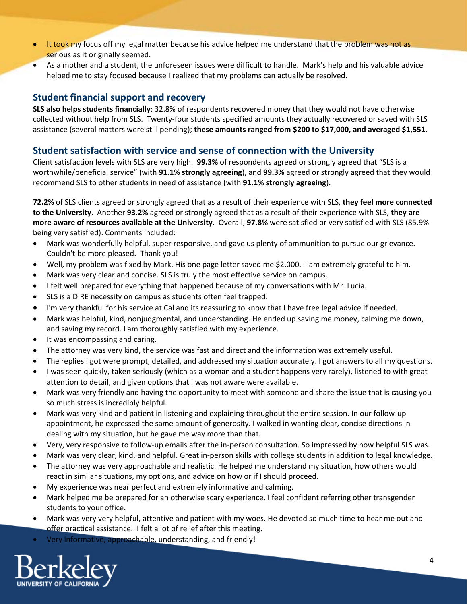- **It took my focus off my legal matter because his advice helped me understand that the problem was not as** serious as it originally seemed.
- As a mother and a student, the unforeseen issues were difficult to handle. Mark's help and his valuable advice helped me to stay focused because I realized that my problems can actually be resolved.

### **Student financial support and recovery**

**SLS also helps students financially**: 32.8% of respondents recovered money that they would not have otherwise collected without help from SLS. Twenty‐four students specified amounts they actually recovered or saved with SLS assistance (several matters were still pending); **these amounts ranged from \$200 to \$17,000, and averaged \$1,551.**

### **Student satisfaction with service and sense of connection with the University**

Client satisfaction levels with SLS are very high. **99.3%** of respondents agreed or strongly agreed that "SLS is a worthwhile/beneficial service" (with **91.1% strongly agreeing**), and **99.3%** agreed or strongly agreed that they would recommend SLS to other students in need of assistance (with **91.1% strongly agreeing**).

**72.2%** of SLS clients agreed or strongly agreed that as a result of their experience with SLS, **they feel more connected to the University**. Another **93.2%** agreed or strongly agreed that as a result of their experience with SLS, **they are more aware of resources available at the University**. Overall, **97.8%** were satisfied or very satisfied with SLS (85.9% being very satisfied). Comments included:

- Mark was wonderfully helpful, super responsive, and gave us plenty of ammunition to pursue our grievance. Couldn't be more pleased. Thank you!
- Well, my problem was fixed by Mark. His one page letter saved me \$2,000. I am extremely grateful to him.
- Mark was very clear and concise. SLS is truly the most effective service on campus.
- I felt well prepared for everything that happened because of my conversations with Mr. Lucia.
- SLS is a DIRE necessity on campus as students often feel trapped.
- I'm very thankful for his service at Cal and its reassuring to know that I have free legal advice if needed.
- Mark was helpful, kind, nonjudgmental, and understanding. He ended up saving me money, calming me down, and saving my record. I am thoroughly satisfied with my experience.
- It was encompassing and caring.
- The attorney was very kind, the service was fast and direct and the information was extremely useful.
- The replies I got were prompt, detailed, and addressed my situation accurately. I got answers to all my questions.
- I was seen quickly, taken seriously (which as a woman and a student happens very rarely), listened to with great attention to detail, and given options that I was not aware were available.
- Mark was very friendly and having the opportunity to meet with someone and share the issue that is causing you so much stress is incredibly helpful.
- Mark was very kind and patient in listening and explaining throughout the entire session. In our follow-up appointment, he expressed the same amount of generosity. I walked in wanting clear, concise directions in dealing with my situation, but he gave me way more than that.
- Very, very responsive to follow‐up emails after the in‐person consultation. So impressed by how helpful SLS was.
- Mark was very clear, kind, and helpful. Great in‐person skills with college students in addition to legal knowledge.
- The attorney was very approachable and realistic. He helped me understand my situation, how others would react in similar situations, my options, and advice on how or if I should proceed.
- My experience was near perfect and extremely informative and calming.
- Mark helped me be prepared for an otherwise scary experience. I feel confident referring other transgender students to your office.
- Mark was very very helpful, attentive and patient with my woes. He devoted so much time to hear me out and offer practical assistance. I felt a lot of relief after this meeting.
- Very informative, approachable, understanding, and friendly!